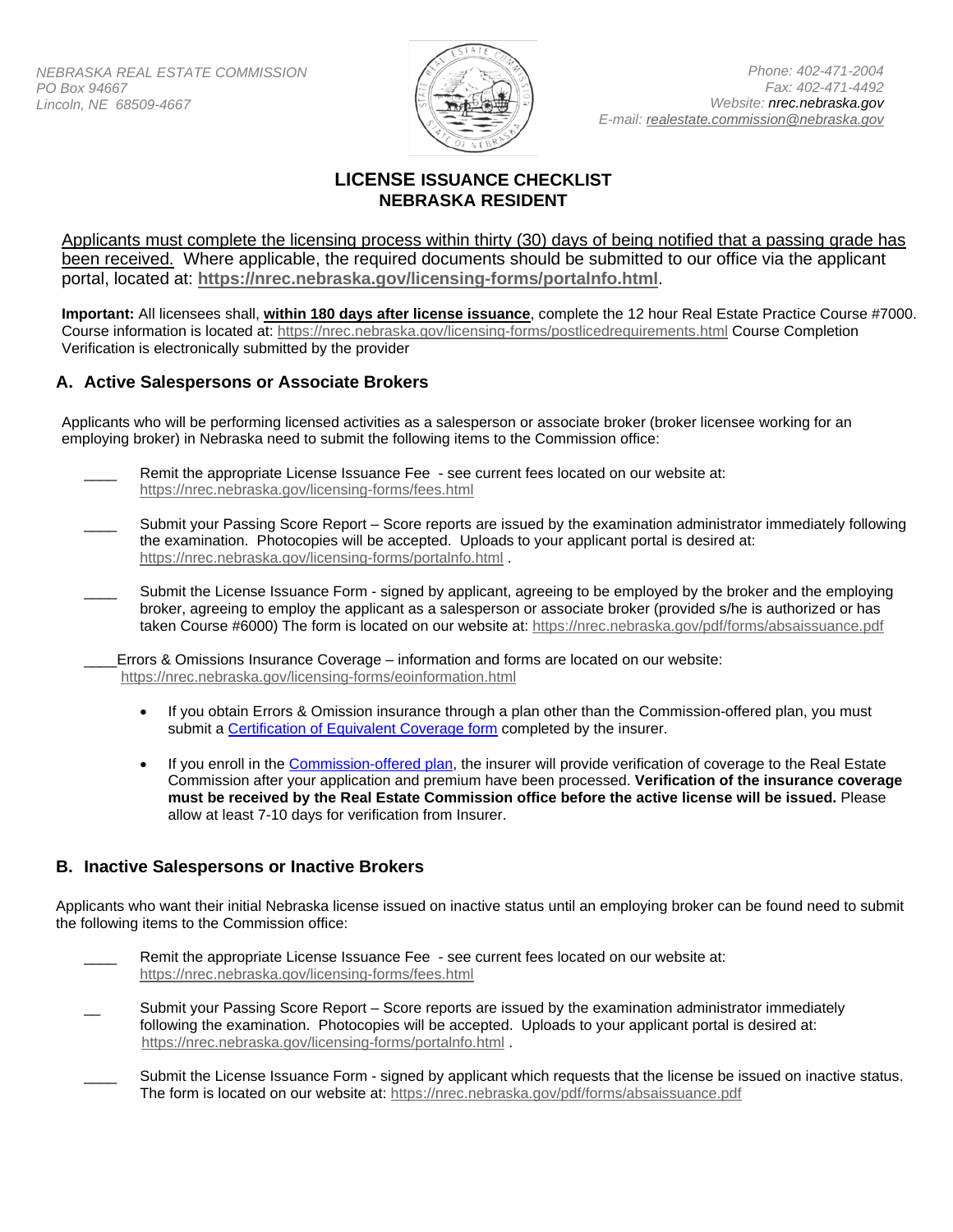

## **LICENSE ISSUANCE CHECKLIST NEBRASKA RESIDENT**

Applicants must complete the licensing process within thirty (30) days of being notified that a passing grade has been received. Where applicable, the required documents should be submitted to our office via the applicant portal, located at: **<https://nrec.nebraska.gov/licensing-forms/portalnfo.html>**.

**Important:** All licensees shall, **within 180 days after license issuance**, complete the 12 hour Real Estate Practice Course #7000. Course information is located at:<https://nrec.nebraska.gov/licensing-forms/postlicedrequirements.html> Course Completion Verification is electronically submitted by the provider

## **A. Active Salespersons or Associate Brokers**

Applicants who will be performing licensed activities as a salesperson or associate broker (broker licensee working for an employing broker) in Nebraska need to submit the following items to the Commission office:

- Remit the appropriate License Issuance Fee see current fees located on our website at: <https://nrec.nebraska.gov/licensing-forms/fees.html>
- Submit your Passing Score Report Score reports are issued by the examination administrator immediately following the examination. Photocopies will be accepted. Uploads to your applicant portal is desired at: <https://nrec.nebraska.gov/licensing-forms/portalnfo.html> .
- Submit the License Issuance Form signed by applicant, agreeing to be employed by the broker and the employing broker, agreeing to employ the applicant as a salesperson or associate broker (provided s/he is authorized or has taken Course #6000) The form is located on our website at:<https://nrec.nebraska.gov/pdf/forms/absaissuance.pdf>

\_\_\_\_Errors & Omissions Insurance Coverage – information and forms are located on our website: <https://nrec.nebraska.gov/licensing-forms/eoinformation.html>

- If you obtain Errors & Omission insurance through a plan other than the Commission-offered plan, you must submit a [Certification of Equivalent Coverage form](https://nrec.nebraska.gov/pdf/forms/CERTIFY.pdf) completed by the insurer.
- If you enroll in th[e Commission-offered plan,](https://nrec.nebraska.gov/licensing-forms/eoinformation.html) the insurer will provide verification of coverage to the Real Estate Commission after your application and premium have been processed. **Verification of the insurance coverage must be received by the Real Estate Commission office before the active license will be issued.** Please allow at least 7-10 days for verification from Insurer.

## **B. Inactive Salespersons or Inactive Brokers**

Applicants who want their initial Nebraska license issued on inactive status until an employing broker can be found need to submit the following items to the Commission office:

- Remit the appropriate License Issuance Fee see current fees located on our website at: <https://nrec.nebraska.gov/licensing-forms/fees.html>
- Submit your Passing Score Report Score reports are issued by the examination administrator immediately following the examination. Photocopies will be accepted. Uploads to your applicant portal is desired at: <https://nrec.nebraska.gov/licensing-forms/portalnfo.html> .
- Submit the License Issuance Form signed by applicant which requests that the license be issued on inactive status. The form is located on our website at:<https://nrec.nebraska.gov/pdf/forms/absaissuance.pdf>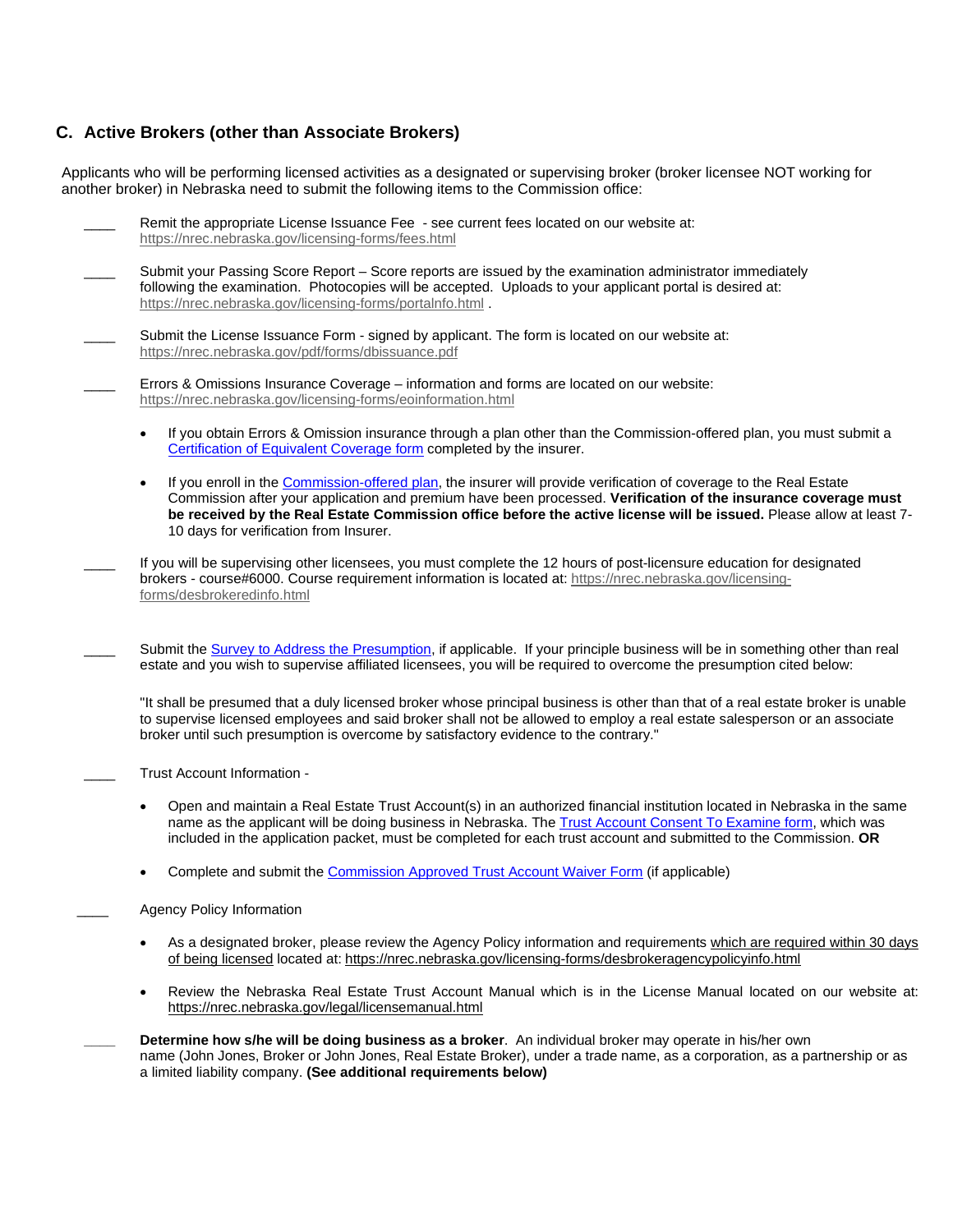## **C. Active Brokers (other than Associate Brokers)**

Applicants who will be performing licensed activities as a designated or supervising broker (broker licensee NOT working for another broker) in Nebraska need to submit the following items to the Commission office:

| Remit the appropriate License Issuance Fee - see current fees located on our website at:<br>https://nrec.nebraska.gov/licensing-forms/fees.html                                                                                                                                                                                                                                                       |
|-------------------------------------------------------------------------------------------------------------------------------------------------------------------------------------------------------------------------------------------------------------------------------------------------------------------------------------------------------------------------------------------------------|
| Submit your Passing Score Report - Score reports are issued by the examination administrator immediately<br>following the examination. Photocopies will be accepted. Uploads to your applicant portal is desired at:<br>https://nrec.nebraska.gov/licensing-forms/portalnfo.html.                                                                                                                     |
| Submit the License Issuance Form - signed by applicant. The form is located on our website at:<br>https://nrec.nebraska.gov/pdf/forms/dbissuance.pdf                                                                                                                                                                                                                                                  |
| Errors & Omissions Insurance Coverage - information and forms are located on our website:<br>https://nrec.nebraska.gov/licensing-forms/eoinformation.html                                                                                                                                                                                                                                             |
| If you obtain Errors & Omission insurance through a plan other than the Commission-offered plan, you must submit a<br>Certification of Equivalent Coverage form completed by the insurer.                                                                                                                                                                                                             |
| If you enroll in the Commission-offered plan, the insurer will provide verification of coverage to the Real Estate<br>Commission after your application and premium have been processed. Verification of the insurance coverage must<br>be received by the Real Estate Commission office before the active license will be issued. Please allow at least 7-<br>10 days for verification from Insurer. |
| If you will be supervising other licensees, you must complete the 12 hours of post-licensure education for designated<br>brokers - course#6000. Course requirement information is located at: https://nrec.nebraska.gov/licensing-<br>forms/desbrokeredinfo.html                                                                                                                                      |
| Submit the Survey to Address the Presumption, if applicable. If your principle business will be in something other than real<br>estate and you wish to supervise affiliated licensees, you will be required to overcome the presumption cited below:                                                                                                                                                  |
| "It shall be presumed that a duly licensed broker whose principal business is other than that of a real estate broker is unable<br>to supervise licensed employees and said broker shall not be allowed to employ a real estate salesperson or an associate<br>broker until such presumption is overcome by satisfactory evidence to the contrary."                                                   |
| Trust Account Information -                                                                                                                                                                                                                                                                                                                                                                           |
| Open and maintain a Real Estate Trust Account(s) in an authorized financial institution located in Nebraska in the same<br>name as the applicant will be doing business in Nebraska. The Trust Account Consent To Examine form, which was<br>included in the application packet, must be completed for each trust account and submitted to the Commission. OR                                         |
| Complete and submit the Commission Approved Trust Account Waiver Form (if applicable)                                                                                                                                                                                                                                                                                                                 |
| <b>Agency Policy Information</b>                                                                                                                                                                                                                                                                                                                                                                      |
| As a designated broker, please review the Agency Policy information and requirements which are required within 30 days<br>of being licensed located at: https://nrec.nebraska.gov/licensing-forms/desbrokeragencypolicyinfo.html                                                                                                                                                                      |
| Review the Nebraska Real Estate Trust Account Manual which is in the License Manual located on our website at:<br>https://nrec.nebraska.gov/legal/licensemanual.html                                                                                                                                                                                                                                  |
| Determine how s/he will be doing business as a broker. An individual broker may operate in his/her own<br>name (John Jones, Broker or John Jones, Real Estate Broker), under a trade name, as a corporation, as a partnership or as<br>a limited liability company. (See additional requirements below)                                                                                               |